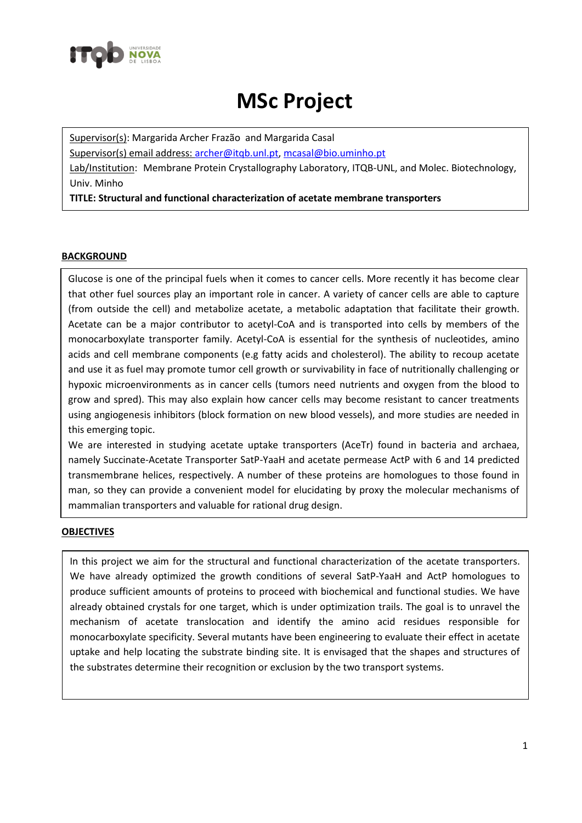

## **MSc Project**

Supervisor(s): Margarida Archer Frazão and Margarida Casal

Supervisor(s) email address: [archer@itqb.unl.pt,](mailto:archer@itqb.unl.pt) [mcasal@bio.uminho.pt](mailto:mcasal@bio.uminho.pt)

Lab/Institution: Membrane Protein Crystallography Laboratory, ITQB-UNL, and Molec. Biotechnology, Univ. Minho

**TITLE: Structural and functional characterization of acetate membrane transporters**

## **BACKGROUND**

Glucose is one of the principal fuels when it comes to cancer cells. More recently it has become clear that other fuel sources play an important role in cancer. A variety of cancer cells are able to capture (from outside the cell) and metabolize acetate, a metabolic adaptation that facilitate their growth. Acetate can be a major contributor to acetyl-CoA and is transported into cells by members of the monocarboxylate transporter family. Acetyl-CoA is essential for the synthesis of nucleotides, amino acids and cell membrane components (e.g fatty acids and cholesterol). The ability to recoup acetate and use it as fuel may promote tumor cell growth or survivability in face of nutritionally challenging or hypoxic microenvironments as in cancer cells (tumors need nutrients and oxygen from the blood to grow and spred). This may also explain how cancer cells may become resistant to cancer treatments using angiogenesis inhibitors (block formation on new blood vessels), and more studies are needed in this emerging topic.

We are interested in studying acetate uptake transporters (AceTr) found in bacteria and archaea, namely Succinate-Acetate Transporter SatP-YaaH and acetate permease ActP with 6 and 14 predicted transmembrane helices, respectively. A number of these proteins are homologues to those found in man, so they can provide a convenient model for elucidating by proxy the molecular mechanisms of mammalian transporters and valuable for rational drug design.

## **OBJECTIVES**

In this project we aim for the structural and functional characterization of the acetate transporters. We have already optimized the growth conditions of several SatP-YaaH and ActP homologues to produce sufficient amounts of proteins to proceed with biochemical and functional studies. We have already obtained crystals for one target, which is under optimization trails. The goal is to unravel the mechanism of acetate translocation and identify the amino acid residues responsible for monocarboxylate specificity. Several mutants have been engineering to evaluate their effect in acetate uptake and help locating the substrate binding site. It is envisaged that the shapes and structures of the substrates determine their recognition or exclusion by the two transport systems.